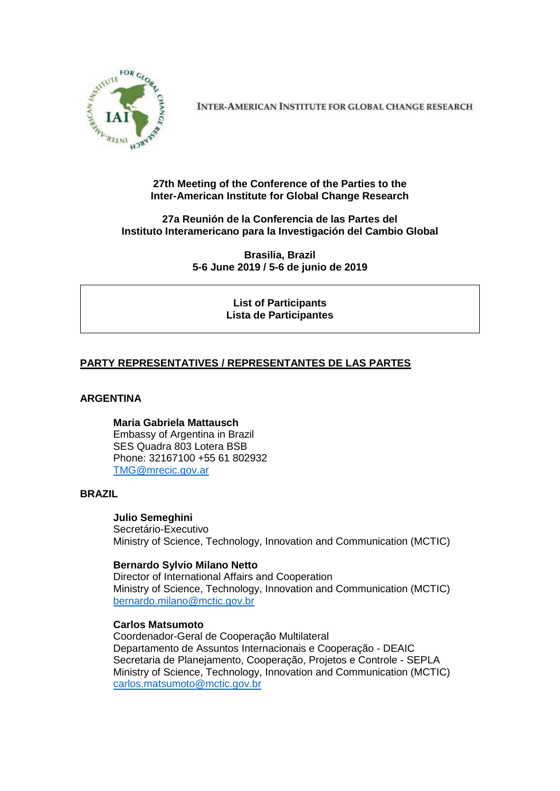

**INTER-AMERICAN INSTITUTE FOR GLOBAL CHANGE RESEARCH** 

## **27th Meeting of the Conference of the Parties to the Inter-American Institute for Global Change Research**

## **27a Reunión de la Conferencia de las Partes del Instituto Interamericano para la Investigación del Cambio Global**

**Brasilia, Brazil 5-6 June 2019 / 5-6 de junio de 2019**

> **List of Participants Lista de Participantes**

## **PARTY REPRESENTATIVES / REPRESENTANTES DE LAS PARTES**

## **ARGENTINA**

**Maria Gabriela Mattausch** Embassy of Argentina in Brazil SES Quadra 803 Lotera BSB Phone: 32167100 +55 61 802932 [TMG@mrecic.gov.ar](mailto:TMG@mrecic.gov.ar)

## **BRAZIL**

#### **Julio Semeghini**

Secretário-Executivo Ministry of Science, Technology, Innovation and Communication (MCTIC)

#### **Bernardo Sylvio Milano Netto**

Director of International Affairs and Cooperation Ministry of Science, Technology, Innovation and Communication (MCTIC) [bernardo.milano@mctic.gov.br](mailto:bernardo.milano@mctic.gov.br)

#### **Carlos Matsumoto**

Coordenador-Geral de Cooperação Multilateral Departamento de Assuntos Internacionais e Cooperação - DEAIC Secretaria de Planejamento, Cooperação, Projetos e Controle - SEPLA Ministry of Science, Technology, Innovation and Communication (MCTIC) [carlos.matsumoto@mctic.gov.br](mailto:carlos.matsumoto@mctic.gov.br)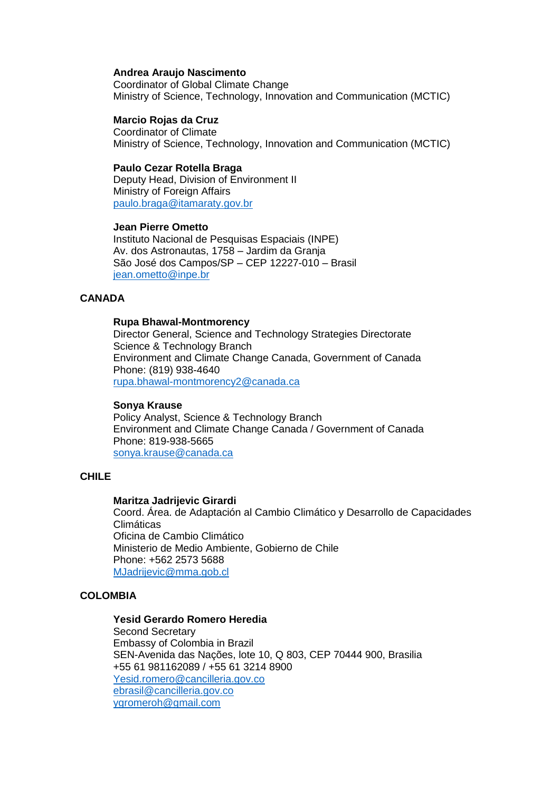#### **Andrea Araujo Nascimento**

Coordinator of Global Climate Change Ministry of Science, Technology, Innovation and Communication (MCTIC)

#### **Marcio Rojas da Cruz**

Coordinator of Climate Ministry of Science, Technology, Innovation and Communication (MCTIC)

#### **Paulo Cezar Rotella Braga**

Deputy Head, Division of Environment II Ministry of Foreign Affairs [paulo.braga@itamaraty.gov.br](mailto:paulo.braga@itamaraty.gov.br)

#### **Jean Pierre Ometto**

Instituto Nacional de Pesquisas Espaciais (INPE) Av. dos Astronautas, 1758 – Jardim da Granja São José dos Campos/SP – CEP 12227-010 – Brasil [jean.ometto@inpe.br](mailto:jean.ometto@inpe.br)

#### **CANADA**

#### **Rupa Bhawal-Montmorency**

Director General, Science and Technology Strategies Directorate Science & Technology Branch Environment and Climate Change Canada, Government of Canada Phone: (819) 938-4640 [rupa.bhawal-montmorency2@canada.ca](mailto:rupa.bhawal-montmorency2@canada.ca)

#### **Sonya Krause**

Policy Analyst, Science & Technology Branch Environment and Climate Change Canada / Government of Canada Phone: 819-938-5665 [sonya.krause@canada.ca](mailto:sonya.krause@canada.ca)

#### **CHILE**

#### **Maritza Jadrijevic Girardi**

Coord. Área. de Adaptación al Cambio Climático y Desarrollo de Capacidades Climáticas Oficina de Cambio Climático Ministerio de Medio Ambiente, Gobierno de Chile Phone: +562 2573 5688 [MJadrijevic@mma.gob.cl](mailto:MJadrijevic@mma.gob.cl)

## **COLOMBIA**

#### **Yesid Gerardo Romero Heredia**

Second Secretary Embassy of Colombia in Brazil SEN-Avenida das Nações, lote 10, Q 803, CEP 70444 900, Brasilia +55 61 981162089 / +55 61 3214 8900 [Yesid.romero@cancilleria.gov.co](mailto:Yesid.romero@cancilleria.gov.co) [ebrasil@cancilleria.gov.co](mailto:ebrasil@cancilleria.gov.co) [ygromeroh@gmail.com](mailto:ygromeroh@gmail.com)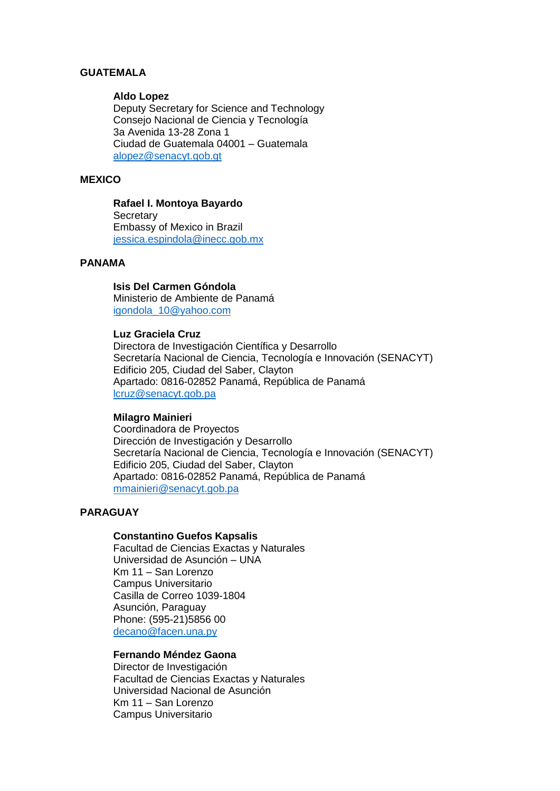### **GUATEMALA**

#### **Aldo Lopez**

Deputy Secretary for Science and Technology Consejo Nacional de Ciencia y Tecnología 3a Avenida 13-28 Zona 1 Ciudad de Guatemala 04001 – Guatemala [alopez@senacyt.gob.gt](mailto:alopez@senacyt.gob.gt)

## **MEXICO**

# **Rafael I. Montoya Bayardo**

**Secretary** Embassy of Mexico in Brazil [jessica.espindola@inecc.gob.mx](mailto:jessica.espindola@inecc.gob.mx)

## **PANAMA**

## **Isis Del Carmen Góndola**

Ministerio de Ambiente de Panamá [igondola\\_10@yahoo.com](mailto:igondola_10@yahoo.com)

#### **Luz Graciela Cruz**

Directora de Investigación Científica y Desarrollo Secretaría Nacional de Ciencia, Tecnología e Innovación (SENACYT) Edificio 205, Ciudad del Saber, Clayton Apartado: 0816-02852 Panamá, República de Panamá [lcruz@senacyt.gob.pa](mailto:lcruz@senacyt.gob.pa)

#### **Milagro Mainieri**

Coordinadora de Proyectos Dirección de Investigación y Desarrollo Secretaría Nacional de Ciencia, Tecnología e Innovación (SENACYT) Edificio 205, Ciudad del Saber, Clayton Apartado: 0816-02852 Panamá, República de Panamá [mmainieri@senacyt.gob.pa](mailto:mmainieri@senacyt.gob.pa)

## **PARAGUAY**

#### **Constantino Guefos Kapsalis**

Facultad de Ciencias Exactas y Naturales Universidad de Asunción – UNA Km 11 – San Lorenzo Campus Universitario Casilla de Correo 1039-1804 Asunción, Paraguay Phone: (595-21)5856 00 [decano@facen.una.py](mailto:decano@facen.una.py)

## **Fernando Méndez Gaona**

Director de Investigación Facultad de Ciencias Exactas y Naturales Universidad Nacional de Asunción Km 11 – San Lorenzo Campus Universitario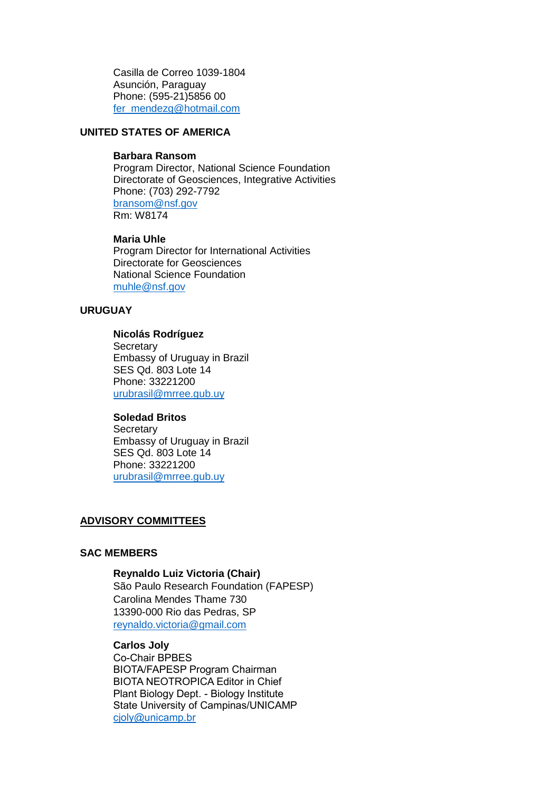Casilla de Correo 1039-1804 Asunción, Paraguay Phone: (595-21)5856 00 [fer\\_mendezg@hotmail.com](mailto:fer_mendezg@hotmail.com)

## **UNITED STATES OF AMERICA**

#### **Barbara Ransom**

Program Director, National Science Foundation Directorate of Geosciences, Integrative Activities Phone: (703) 292-7792 [bransom@nsf.gov](mailto:bransom@nsf.gov) Rm: W8174

#### **Maria Uhle**

Program Director for International Activities Directorate for Geosciences National Science Foundation [muhle@nsf.gov](mailto:muhle@nsf.gov)

### **URUGUAY**

## **Nicolás Rodríguez**

**Secretary** Embassy of Uruguay in Brazil SES Qd. 803 Lote 14 Phone: 33221200 [urubrasil@mrree.gub.uy](mailto:urubrasil@mrree.gub.uy)

#### **Soledad Britos**

**Secretary** Embassy of Uruguay in Brazil SES Qd. 803 Lote 14 Phone: 33221200 [urubrasil@mrree.gub.uy](mailto:urubrasil@mrree.gub.uy)

### **ADVISORY COMMITTEES**

#### **SAC MEMBERS**

### **Reynaldo Luiz Victoria (Chair)**

São Paulo Research Foundation (FAPESP) Carolina Mendes Thame 730 13390-000 Rio das Pedras, SP [reynaldo.victoria@gmail.com](mailto:reynaldo.victoria@gmail.com)

### **Carlos Joly**

Co-Chair BPBES BIOTA/FAPESP Program Chairman BIOTA NEOTROPICA Editor in Chief Plant Biology Dept. - Biology Institute State University of Campinas/UNICAMP [cjoly@unicamp.br](mailto:cjoly@unicamp.br)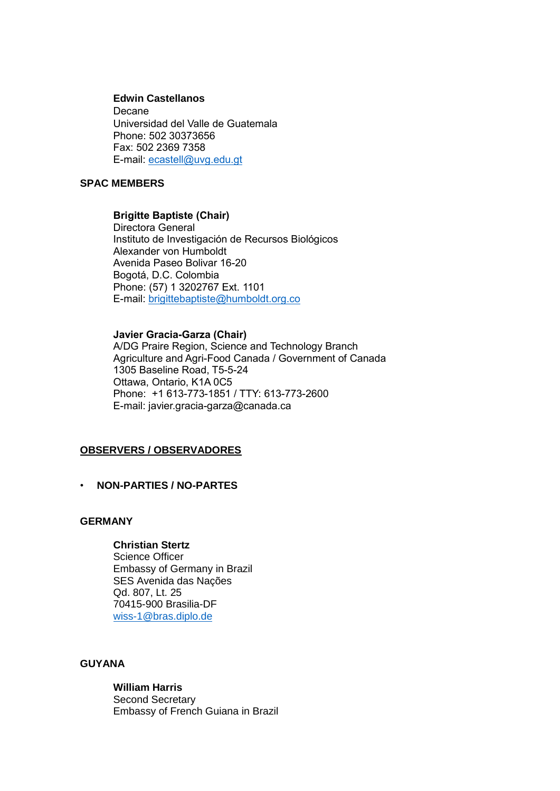#### **Edwin Castellanos**

**Decane** Universidad del Valle de Guatemala Phone: 502 30373656 Fax: 502 2369 7358 E-mail: [ecastell@uvg.edu.gt](mailto:ecastell@uvg.edu.gt)

## **SPAC MEMBERS**

## **Brigitte Baptiste (Chair)**

Directora General Instituto de Investigación de Recursos Biológicos Alexander von Humboldt Avenida Paseo Bolivar 16-20 Bogotá, D.C. Colombia Phone: (57) 1 3202767 Ext. 1101 E-mail: [brigittebaptiste@humboldt.org.co](mailto:brigittebaptiste@humboldt.org.co)

### **Javier Gracia-Garza (Chair)**

A/DG Praire Region, Science and Technology Branch Agriculture and Agri-Food Canada / Government of Canada 1305 Baseline Road, T5-5-24 Ottawa, Ontario, K1A 0C5 Phone: +1 613-773-1851 / TTY: 613-773-2600 E-mail: [javier.gracia-garza@canada.ca](mailto:javier.gracia-garza@canada.ca)

## **OBSERVERS / OBSERVADORES**

## • **NON-PARTIES / NO-PARTES**

### **GERMANY**

## **Christian Stertz**

Science Officer Embassy of Germany in Brazil SES Avenida das Nações Qd. 807, Lt. 25 70415-900 Brasilia-DF [wiss-1@bras.diplo.de](mailto:wiss-1@bras.diplo.de)

## **GUYANA**

**William Harris** Second Secretary Embassy of French Guiana in Brazil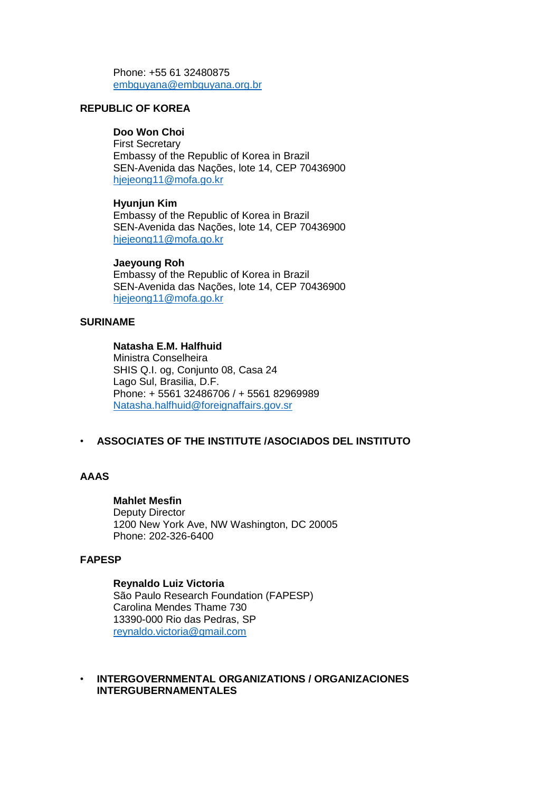Phone: +55 61 32480875 [embguyana@embguyana.org.br](mailto:embguyana@embguyana.org.br)

## **REPUBLIC OF KOREA**

## **Doo Won Choi**

First Secretary Embassy of the Republic of Korea in Brazil SEN-Avenida das Nações, lote 14, CEP 70436900 [hjejeong11@mofa.go.kr](mailto:hjejeong11@mofa.go.kr)

### **Hyunjun Kim**

Embassy of the Republic of Korea in Brazil SEN-Avenida das Nações, lote 14, CEP 70436900 [hjejeong11@mofa.go.kr](mailto:hjejeong11@mofa.go.kr)

#### **Jaeyoung Roh**

Embassy of the Republic of Korea in Brazil SEN-Avenida das Nações, lote 14, CEP 70436900 [hjejeong11@mofa.go.kr](mailto:hjejeong11@mofa.go.kr)

### **SURINAME**

## **Natasha E.M. Halfhuid**

Ministra Conselheira SHIS Q.I. og, Conjunto 08, Casa 24 Lago Sul, Brasilia, D.F. Phone: + 5561 32486706 / + 5561 82969989 [Natasha.halfhuid@foreignaffairs.gov.sr](mailto:Natasha.halfhuid@foreignaffairs.gov.sr)

## • **ASSOCIATES OF THE INSTITUTE /ASOCIADOS DEL INSTITUTO**

## **AAAS**

#### **Mahlet Mesfin**

Deputy Director 1200 New York Ave, NW Washington, DC 20005 Phone: 202-326-6400

## **FAPESP**

## **Reynaldo Luiz Victoria**

São Paulo Research Foundation (FAPESP) Carolina Mendes Thame 730 13390-000 Rio das Pedras, SP [reynaldo.victoria@gmail.com](mailto:reynaldo.victoria@gmail.com)

### • **INTERGOVERNMENTAL ORGANIZATIONS / ORGANIZACIONES INTERGUBERNAMENTALES**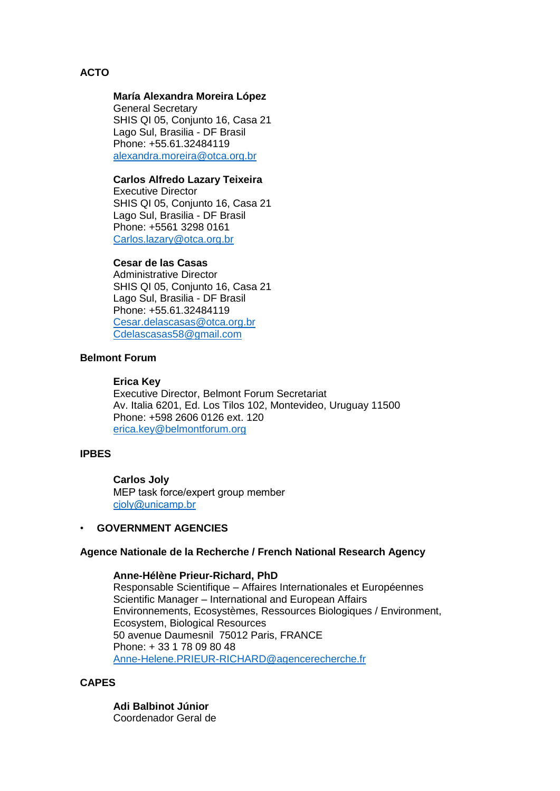## **ACTO**

## **María Alexandra Moreira López**

General Secretary SHIS QI 05, Conjunto 16, Casa 21 Lago Sul, Brasilia - DF Brasil Phone: +55.61.32484119 [alexandra.moreira@otca.org.br](mailto:alexandra.moreira@otca.org.br)

## **Carlos Alfredo Lazary Teixeira**

Executive Director SHIS QI 05, Conjunto 16, Casa 21 Lago Sul, Brasilia - DF Brasil Phone: +5561 3298 0161 [Carlos.lazary@otca.org.br](mailto:Carlos.lazary@otca.org.br)

## **Cesar de las Casas**

Administrative Director SHIS QI 05, Conjunto 16, Casa 21 Lago Sul, Brasilia - DF Brasil Phone: +55.61.32484119 [Cesar.delascasas@otca.org.br](mailto:Cesar.delascasas@otca.org.br) [Cdelascasas58@gmail.com](mailto:Cdelascasas58@gmail.com)

## **Belmont Forum**

#### **Erica Key**

Executive Director, Belmont Forum Secretariat Av. Italia 6201, Ed. Los Tilos 102, Montevideo, Uruguay 11500 Phone: +598 2606 0126 ext. 120 [erica.key@belmontforum.org](mailto:erica.key@belmontforum.org)

## **IPBES**

## **Carlos Joly**

MEP task force/expert group member [cjoly@unicamp.br](mailto:cjoly@unicamp.br)

## • **GOVERNMENT AGENCIES**

## **Agence Nationale de la Recherche / French National Research Agency**

#### **Anne-Hélène Prieur-Richard, PhD**

Responsable Scientifique – Affaires Internationales et Européennes Scientific Manager – International and European Affairs Environnements, Ecosystèmes, Ressources Biologiques / Environment, Ecosystem, Biological Resources 50 avenue Daumesnil 75012 Paris, FRANCE Phone: + 33 1 78 09 80 48 [Anne-Helene.PRIEUR-RICHARD@agencerecherche.fr](mailto:Anne-Helene.PRIEUR-RICHARD@agencerecherche.fr)

## **CAPES**

**Adi Balbinot Júnior** Coordenador Geral de